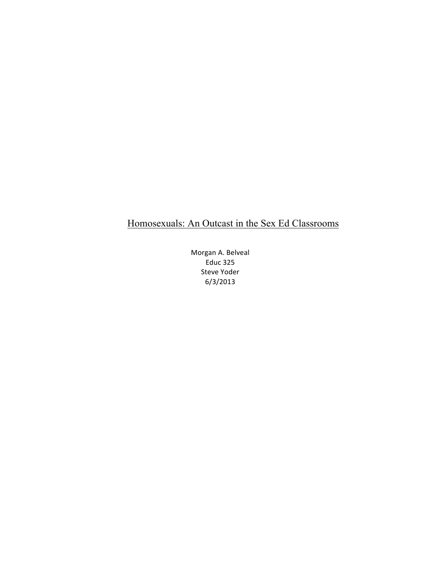# Homosexuals: An Outcast in the Sex Ed Classrooms

Morgan A. Belveal Educ 325 Steve Yoder 6/3/2013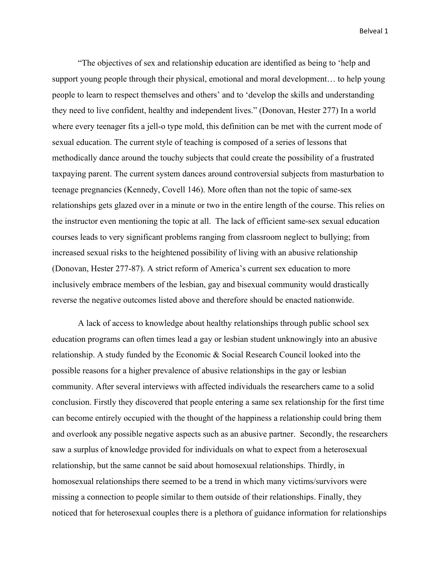"The objectives of sex and relationship education are identified as being to 'help and support young people through their physical, emotional and moral development… to help young people to learn to respect themselves and others' and to 'develop the skills and understanding they need to live confident, healthy and independent lives." (Donovan, Hester 277) In a world where every teenager fits a jell-o type mold, this definition can be met with the current mode of sexual education. The current style of teaching is composed of a series of lessons that methodically dance around the touchy subjects that could create the possibility of a frustrated taxpaying parent. The current system dances around controversial subjects from masturbation to teenage pregnancies (Kennedy, Covell 146). More often than not the topic of same-sex relationships gets glazed over in a minute or two in the entire length of the course. This relies on the instructor even mentioning the topic at all. The lack of efficient same-sex sexual education courses leads to very significant problems ranging from classroom neglect to bullying; from increased sexual risks to the heightened possibility of living with an abusive relationship (Donovan, Hester 277-87). A strict reform of America's current sex education to more inclusively embrace members of the lesbian, gay and bisexual community would drastically reverse the negative outcomes listed above and therefore should be enacted nationwide.

A lack of access to knowledge about healthy relationships through public school sex education programs can often times lead a gay or lesbian student unknowingly into an abusive relationship. A study funded by the Economic & Social Research Council looked into the possible reasons for a higher prevalence of abusive relationships in the gay or lesbian community. After several interviews with affected individuals the researchers came to a solid conclusion. Firstly they discovered that people entering a same sex relationship for the first time can become entirely occupied with the thought of the happiness a relationship could bring them and overlook any possible negative aspects such as an abusive partner. Secondly, the researchers saw a surplus of knowledge provided for individuals on what to expect from a heterosexual relationship, but the same cannot be said about homosexual relationships. Thirdly, in homosexual relationships there seemed to be a trend in which many victims/survivors were missing a connection to people similar to them outside of their relationships. Finally, they noticed that for heterosexual couples there is a plethora of guidance information for relationships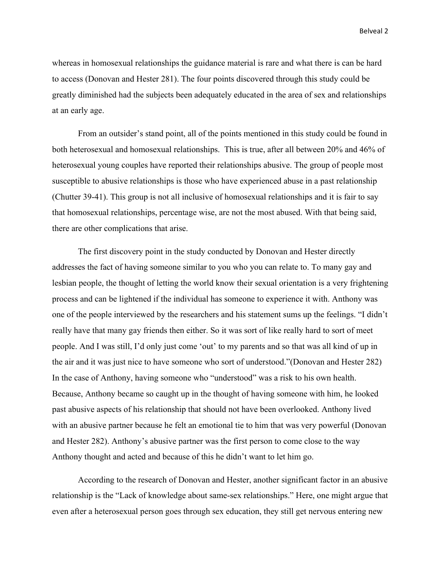whereas in homosexual relationships the guidance material is rare and what there is can be hard to access (Donovan and Hester 281). The four points discovered through this study could be greatly diminished had the subjects been adequately educated in the area of sex and relationships at an early age.

From an outsider's stand point, all of the points mentioned in this study could be found in both heterosexual and homosexual relationships. This is true, after all between 20% and 46% of heterosexual young couples have reported their relationships abusive. The group of people most susceptible to abusive relationships is those who have experienced abuse in a past relationship (Chutter 39-41). This group is not all inclusive of homosexual relationships and it is fair to say that homosexual relationships, percentage wise, are not the most abused. With that being said, there are other complications that arise.

The first discovery point in the study conducted by Donovan and Hester directly addresses the fact of having someone similar to you who you can relate to. To many gay and lesbian people, the thought of letting the world know their sexual orientation is a very frightening process and can be lightened if the individual has someone to experience it with. Anthony was one of the people interviewed by the researchers and his statement sums up the feelings. "I didn't really have that many gay friends then either. So it was sort of like really hard to sort of meet people. And I was still, I'd only just come 'out' to my parents and so that was all kind of up in the air and it was just nice to have someone who sort of understood."(Donovan and Hester 282) In the case of Anthony, having someone who "understood" was a risk to his own health. Because, Anthony became so caught up in the thought of having someone with him, he looked past abusive aspects of his relationship that should not have been overlooked. Anthony lived with an abusive partner because he felt an emotional tie to him that was very powerful (Donovan and Hester 282). Anthony's abusive partner was the first person to come close to the way Anthony thought and acted and because of this he didn't want to let him go.

According to the research of Donovan and Hester, another significant factor in an abusive relationship is the "Lack of knowledge about same-sex relationships." Here, one might argue that even after a heterosexual person goes through sex education, they still get nervous entering new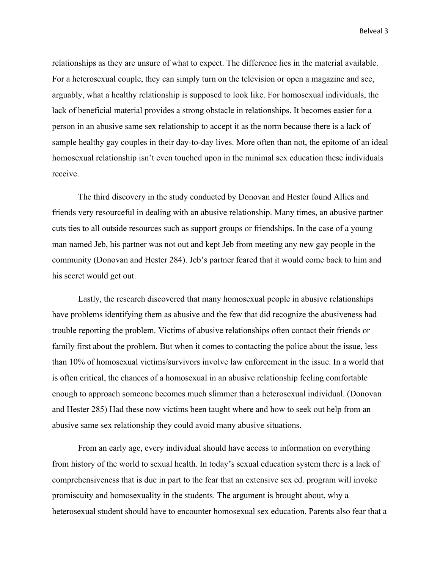relationships as they are unsure of what to expect. The difference lies in the material available. For a heterosexual couple, they can simply turn on the television or open a magazine and see, arguably, what a healthy relationship is supposed to look like. For homosexual individuals, the lack of beneficial material provides a strong obstacle in relationships. It becomes easier for a person in an abusive same sex relationship to accept it as the norm because there is a lack of sample healthy gay couples in their day-to-day lives. More often than not, the epitome of an ideal homosexual relationship isn't even touched upon in the minimal sex education these individuals receive.

The third discovery in the study conducted by Donovan and Hester found Allies and friends very resourceful in dealing with an abusive relationship. Many times, an abusive partner cuts ties to all outside resources such as support groups or friendships. In the case of a young man named Jeb, his partner was not out and kept Jeb from meeting any new gay people in the community (Donovan and Hester 284). Jeb's partner feared that it would come back to him and his secret would get out.

Lastly, the research discovered that many homosexual people in abusive relationships have problems identifying them as abusive and the few that did recognize the abusiveness had trouble reporting the problem. Victims of abusive relationships often contact their friends or family first about the problem. But when it comes to contacting the police about the issue, less than 10% of homosexual victims/survivors involve law enforcement in the issue. In a world that is often critical, the chances of a homosexual in an abusive relationship feeling comfortable enough to approach someone becomes much slimmer than a heterosexual individual. (Donovan and Hester 285) Had these now victims been taught where and how to seek out help from an abusive same sex relationship they could avoid many abusive situations.

From an early age, every individual should have access to information on everything from history of the world to sexual health. In today's sexual education system there is a lack of comprehensiveness that is due in part to the fear that an extensive sex ed. program will invoke promiscuity and homosexuality in the students. The argument is brought about, why a heterosexual student should have to encounter homosexual sex education. Parents also fear that a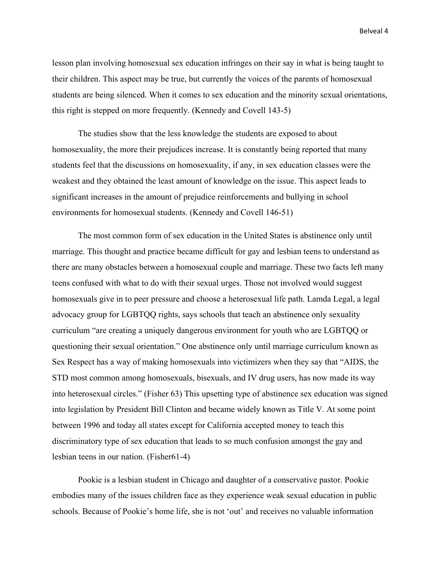lesson plan involving homosexual sex education infringes on their say in what is being taught to their children. This aspect may be true, but currently the voices of the parents of homosexual students are being silenced. When it comes to sex education and the minority sexual orientations, this right is stepped on more frequently. (Kennedy and Covell 143-5)

The studies show that the less knowledge the students are exposed to about homosexuality, the more their prejudices increase. It is constantly being reported that many students feel that the discussions on homosexuality, if any, in sex education classes were the weakest and they obtained the least amount of knowledge on the issue. This aspect leads to significant increases in the amount of prejudice reinforcements and bullying in school environments for homosexual students. (Kennedy and Covell 146-51)

The most common form of sex education in the United States is abstinence only until marriage. This thought and practice became difficult for gay and lesbian teens to understand as there are many obstacles between a homosexual couple and marriage. These two facts left many teens confused with what to do with their sexual urges. Those not involved would suggest homosexuals give in to peer pressure and choose a heterosexual life path. Lamda Legal, a legal advocacy group for LGBTQQ rights, says schools that teach an abstinence only sexuality curriculum "are creating a uniquely dangerous environment for youth who are LGBTQQ or questioning their sexual orientation." One abstinence only until marriage curriculum known as Sex Respect has a way of making homosexuals into victimizers when they say that "AIDS, the STD most common among homosexuals, bisexuals, and IV drug users, has now made its way into heterosexual circles." (Fisher 63) This upsetting type of abstinence sex education was signed into legislation by President Bill Clinton and became widely known as Title V. At some point between 1996 and today all states except for California accepted money to teach this discriminatory type of sex education that leads to so much confusion amongst the gay and lesbian teens in our nation. (Fisher61-4)

Pookie is a lesbian student in Chicago and daughter of a conservative pastor. Pookie embodies many of the issues children face as they experience weak sexual education in public schools. Because of Pookie's home life, she is not 'out' and receives no valuable information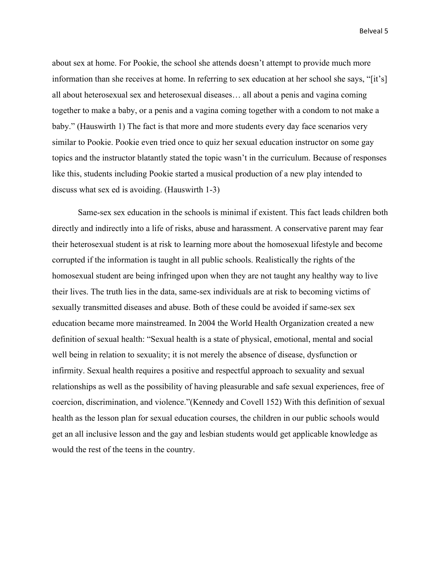about sex at home. For Pookie, the school she attends doesn't attempt to provide much more information than she receives at home. In referring to sex education at her school she says, "[it's] all about heterosexual sex and heterosexual diseases… all about a penis and vagina coming together to make a baby, or a penis and a vagina coming together with a condom to not make a baby." (Hauswirth 1) The fact is that more and more students every day face scenarios very similar to Pookie. Pookie even tried once to quiz her sexual education instructor on some gay topics and the instructor blatantly stated the topic wasn't in the curriculum. Because of responses like this, students including Pookie started a musical production of a new play intended to discuss what sex ed is avoiding. (Hauswirth 1-3)

Same-sex sex education in the schools is minimal if existent. This fact leads children both directly and indirectly into a life of risks, abuse and harassment. A conservative parent may fear their heterosexual student is at risk to learning more about the homosexual lifestyle and become corrupted if the information is taught in all public schools. Realistically the rights of the homosexual student are being infringed upon when they are not taught any healthy way to live their lives. The truth lies in the data, same-sex individuals are at risk to becoming victims of sexually transmitted diseases and abuse. Both of these could be avoided if same-sex sex education became more mainstreamed. In 2004 the World Health Organization created a new definition of sexual health: "Sexual health is a state of physical, emotional, mental and social well being in relation to sexuality; it is not merely the absence of disease, dysfunction or infirmity. Sexual health requires a positive and respectful approach to sexuality and sexual relationships as well as the possibility of having pleasurable and safe sexual experiences, free of coercion, discrimination, and violence."(Kennedy and Covell 152) With this definition of sexual health as the lesson plan for sexual education courses, the children in our public schools would get an all inclusive lesson and the gay and lesbian students would get applicable knowledge as would the rest of the teens in the country.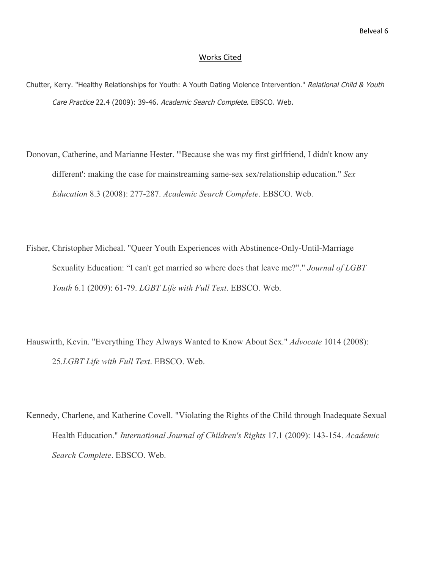#### Works Cited

- Chutter, Kerry. "Healthy Relationships for Youth: A Youth Dating Violence Intervention." Relational Child & Youth Care Practice 22.4 (2009): 39-46. Academic Search Complete. EBSCO. Web.
- Donovan, Catherine, and Marianne Hester. "'Because she was my first girlfriend, I didn't know any different': making the case for mainstreaming same-sex sex/relationship education." *Sex Education* 8.3 (2008): 277-287. *Academic Search Complete*. EBSCO. Web.
- Fisher, Christopher Micheal. "Queer Youth Experiences with Abstinence-Only-Until-Marriage Sexuality Education: "I can't get married so where does that leave me?"." *Journal of LGBT Youth* 6.1 (2009): 61-79. *LGBT Life with Full Text*. EBSCO. Web.
- Hauswirth, Kevin. "Everything They Always Wanted to Know About Sex." *Advocate* 1014 (2008): 25.*LGBT Life with Full Text*. EBSCO. Web.
- Kennedy, Charlene, and Katherine Covell. "Violating the Rights of the Child through Inadequate Sexual Health Education." *International Journal of Children's Rights* 17.1 (2009): 143-154. *Academic Search Complete*. EBSCO. Web.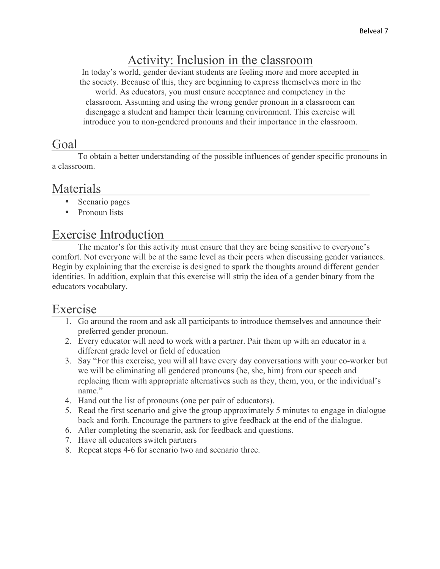# Activity: Inclusion in the classroom

In today's world, gender deviant students are feeling more and more accepted in the society. Because of this, they are beginning to express themselves more in the world. As educators, you must ensure acceptance and competency in the classroom. Assuming and using the wrong gender pronoun in a classroom can disengage a student and hamper their learning environment. This exercise will introduce you to non-gendered pronouns and their importance in the classroom.

#### Goal

To obtain a better understanding of the possible influences of gender specific pronouns in a classroom.

#### Materials

- Scenario pages
- Pronoun lists

#### Exercise Introduction

The mentor's for this activity must ensure that they are being sensitive to everyone's comfort. Not everyone will be at the same level as their peers when discussing gender variances. Begin by explaining that the exercise is designed to spark the thoughts around different gender identities. In addition, explain that this exercise will strip the idea of a gender binary from the educators vocabulary.

#### Exercise

- 1. Go around the room and ask all participants to introduce themselves and announce their preferred gender pronoun.
- 2. Every educator will need to work with a partner. Pair them up with an educator in a different grade level or field of education
- 3. Say "For this exercise, you will all have every day conversations with your co-worker but we will be eliminating all gendered pronouns (he, she, him) from our speech and replacing them with appropriate alternatives such as they, them, you, or the individual's name."
- 4. Hand out the list of pronouns (one per pair of educators).
- 5. Read the first scenario and give the group approximately 5 minutes to engage in dialogue back and forth. Encourage the partners to give feedback at the end of the dialogue.
- 6. After completing the scenario, ask for feedback and questions.
- 7. Have all educators switch partners
- 8. Repeat steps 4-6 for scenario two and scenario three.